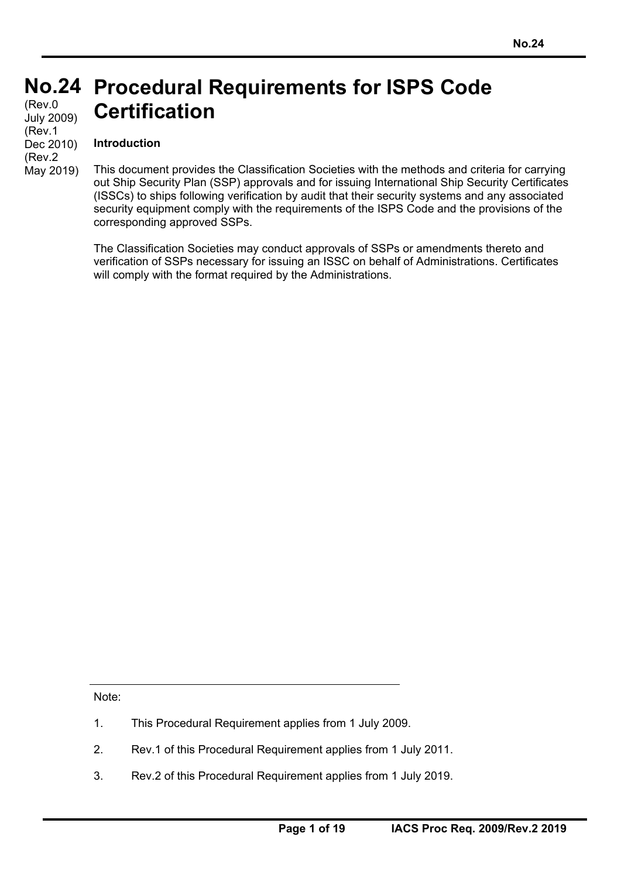### **No.24 Procedural Requirements for ISPS Code Certification**  (Rev.0 July 2009) (Rev.1

## **Introduction**

Dec 2010) (Rev.2 May 2019)

This document provides the Classification Societies with the methods and criteria for carrying out Ship Security Plan (SSP) approvals and for issuing International Ship Security Certificates (ISSCs) to ships following verification by audit that their security systems and any associated security equipment comply with the requirements of the ISPS Code and the provisions of the corresponding approved SSPs.

The Classification Societies may conduct approvals of SSPs or amendments thereto and verification of SSPs necessary for issuing an ISSC on behalf of Administrations. Certificates will comply with the format required by the Administrations.

Note:

- 1. This Procedural Requirement applies from 1 July 2009.
- 2. Rev.1 of this Procedural Requirement applies from 1 July 2011.
- 3. Rev.2 of this Procedural Requirement applies from 1 July 2019.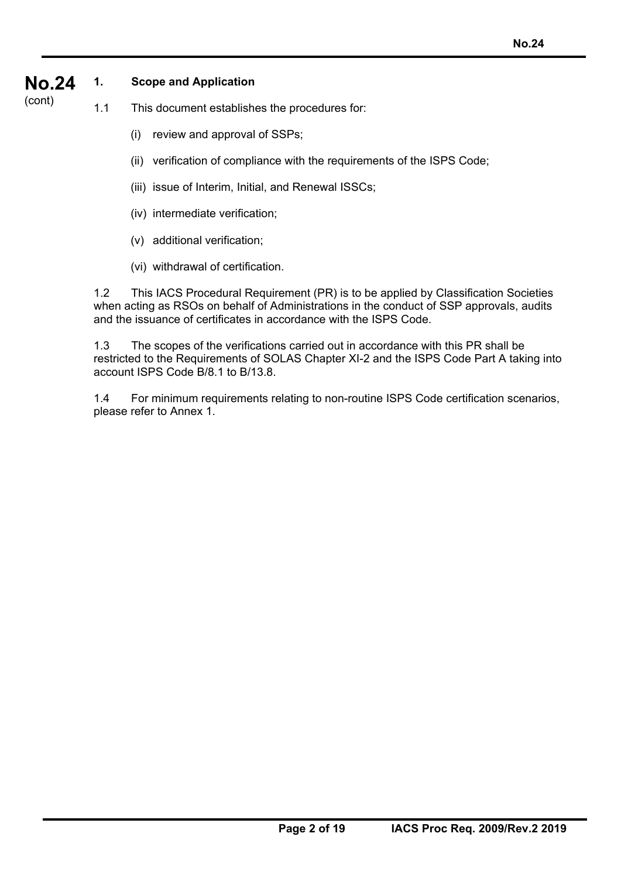#### **No.24 1. Scope and Application**

(cont) 1.1 This document establishes the procedures for:

- (i) review and approval of SSPs;
- (ii) verification of compliance with the requirements of the ISPS Code;
- (iii) issue of Interim, Initial, and Renewal ISSCs;
- (iv) intermediate verification;
- (v) additional verification;
- (vi) withdrawal of certification.

1.2 This IACS Procedural Requirement (PR) is to be applied by Classification Societies when acting as RSOs on behalf of Administrations in the conduct of SSP approvals, audits and the issuance of certificates in accordance with the ISPS Code.

1.3 The scopes of the verifications carried out in accordance with this PR shall be restricted to the Requirements of SOLAS Chapter XI-2 and the ISPS Code Part A taking into account ISPS Code B/8.1 to B/13.8.

1.4 For minimum requirements relating to non-routine ISPS Code certification scenarios, please refer to Annex 1.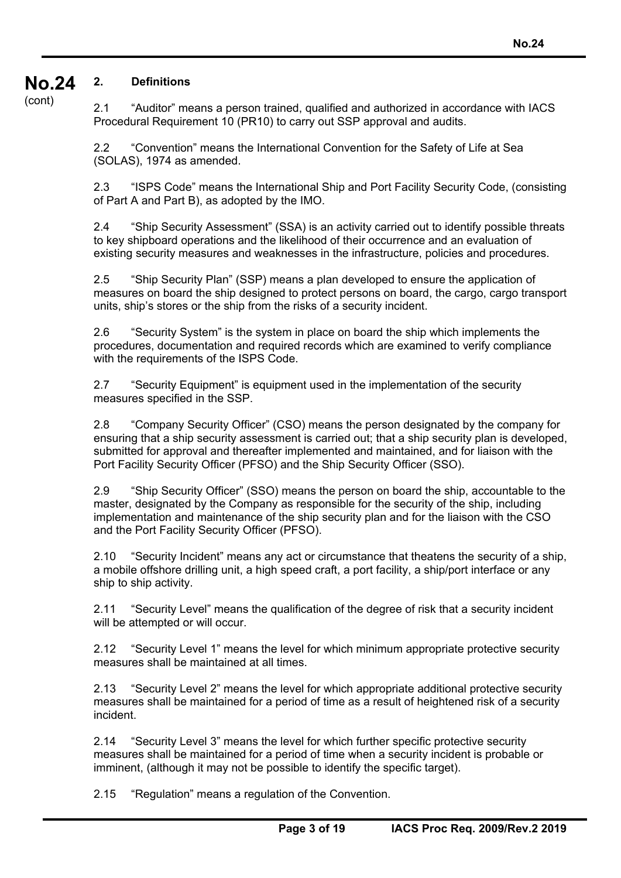#### **No.24 2. Definitions**

(cont)

2.1 "Auditor" means a person trained, qualified and authorized in accordance with IACS Procedural Requirement 10 (PR10) to carry out SSP approval and audits.

2.2 "Convention" means the International Convention for the Safety of Life at Sea (SOLAS), 1974 as amended.

2.3 "ISPS Code" means the International Ship and Port Facility Security Code, (consisting of Part A and Part B), as adopted by the IMO.

2.4 "Ship Security Assessment" (SSA) is an activity carried out to identify possible threats to key shipboard operations and the likelihood of their occurrence and an evaluation of existing security measures and weaknesses in the infrastructure, policies and procedures.

2.5 "Ship Security Plan" (SSP) means a plan developed to ensure the application of measures on board the ship designed to protect persons on board, the cargo, cargo transport units, ship's stores or the ship from the risks of a security incident.

2.6 "Security System" is the system in place on board the ship which implements the procedures, documentation and required records which are examined to verify compliance with the requirements of the ISPS Code.

2.7 "Security Equipment" is equipment used in the implementation of the security measures specified in the SSP.

2.8 "Company Security Officer" (CSO) means the person designated by the company for ensuring that a ship security assessment is carried out; that a ship security plan is developed, submitted for approval and thereafter implemented and maintained, and for liaison with the Port Facility Security Officer (PFSO) and the Ship Security Officer (SSO).

2.9 "Ship Security Officer" (SSO) means the person on board the ship, accountable to the master, designated by the Company as responsible for the security of the ship, including implementation and maintenance of the ship security plan and for the liaison with the CSO and the Port Facility Security Officer (PFSO).

2.10 "Security Incident" means any act or circumstance that theatens the security of a ship, a mobile offshore drilling unit, a high speed craft, a port facility, a ship/port interface or any ship to ship activity.

2.11 "Security Level" means the qualification of the degree of risk that a security incident will be attempted or will occur.

2.12 "Security Level 1" means the level for which minimum appropriate protective security measures shall be maintained at all times.

2.13 "Security Level 2" means the level for which appropriate additional protective security measures shall be maintained for a period of time as a result of heightened risk of a security incident.

2.14 "Security Level 3" means the level for which further specific protective security measures shall be maintained for a period of time when a security incident is probable or imminent, (although it may not be possible to identify the specific target).

2.15 "Regulation" means a regulation of the Convention.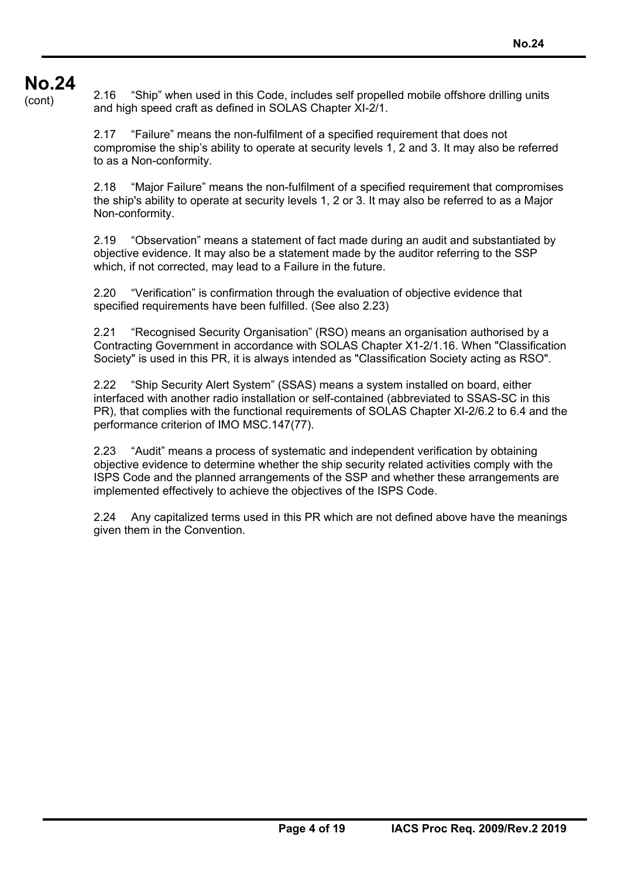# **No.24**

<sup>2</sup> Cont) 2.16 "Ship" when used in this Code, includes self propelled mobile offshore drilling units and high speed craft as defined in SOLAS Chapter XI-2/1.

> 2.17 "Failure" means the non-fulfilment of a specified requirement that does not compromise the ship's ability to operate at security levels 1, 2 and 3. It may also be referred to as a Non-conformity.

2.18 "Major Failure" means the non-fulfilment of a specified requirement that compromises the ship's ability to operate at security levels 1, 2 or 3. It may also be referred to as a Major Non-conformity.

2.19 "Observation" means a statement of fact made during an audit and substantiated by objective evidence. It may also be a statement made by the auditor referring to the SSP which, if not corrected, may lead to a Failure in the future.

2.20 "Verification" is confirmation through the evaluation of objective evidence that specified requirements have been fulfilled. (See also 2.23)

2.21 "Recognised Security Organisation" (RSO) means an organisation authorised by a Contracting Government in accordance with SOLAS Chapter X1-2/1.16. When "Classification Society" is used in this PR, it is always intended as "Classification Society acting as RSO".

2.22 "Ship Security Alert System" (SSAS) means a system installed on board, either interfaced with another radio installation or self-contained (abbreviated to SSAS-SC in this PR), that complies with the functional requirements of SOLAS Chapter XI-2/6.2 to 6.4 and the performance criterion of IMO MSC.147(77).

2.23 "Audit" means a process of systematic and independent verification by obtaining objective evidence to determine whether the ship security related activities comply with the ISPS Code and the planned arrangements of the SSP and whether these arrangements are implemented effectively to achieve the objectives of the ISPS Code.

2.24 Any capitalized terms used in this PR which are not defined above have the meanings given them in the Convention.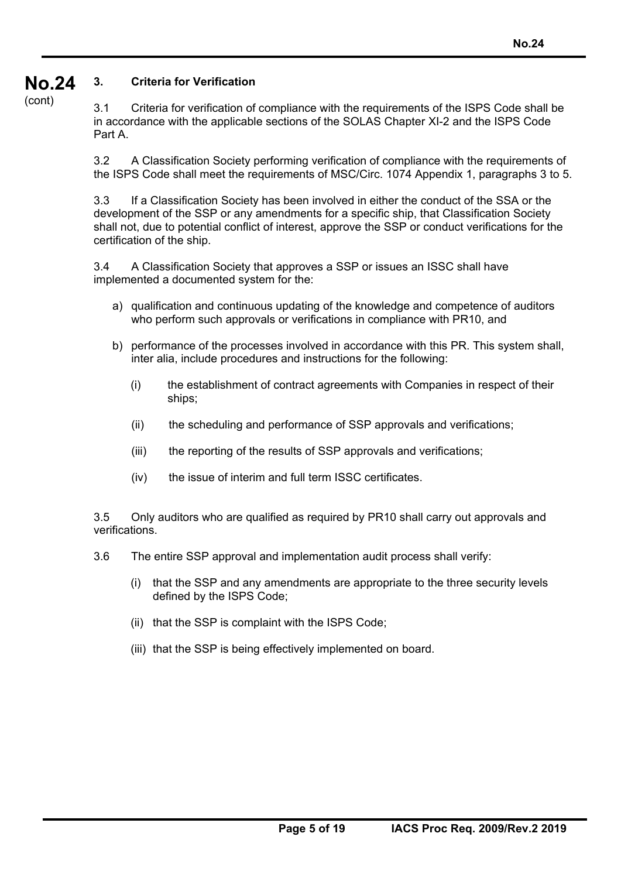#### **No.24 3. Criteria for Verification**

(cont)

3.1 Criteria for verification of compliance with the requirements of the ISPS Code shall be in accordance with the applicable sections of the SOLAS Chapter XI-2 and the ISPS Code Part A.

3.2 A Classification Society performing verification of compliance with the requirements of the ISPS Code shall meet the requirements of MSC/Circ. 1074 Appendix 1, paragraphs 3 to 5.

3.3 If a Classification Society has been involved in either the conduct of the SSA or the development of the SSP or any amendments for a specific ship, that Classification Society shall not, due to potential conflict of interest, approve the SSP or conduct verifications for the certification of the ship.

3.4 A Classification Society that approves a SSP or issues an ISSC shall have implemented a documented system for the:

- a) qualification and continuous updating of the knowledge and competence of auditors who perform such approvals or verifications in compliance with PR10, and
- b) performance of the processes involved in accordance with this PR. This system shall, inter alia, include procedures and instructions for the following:
	- (i) the establishment of contract agreements with Companies in respect of their ships;
	- (ii) the scheduling and performance of SSP approvals and verifications;
	- (iii) the reporting of the results of SSP approvals and verifications;
	- (iv) the issue of interim and full term ISSC certificates.

3.5 Only auditors who are qualified as required by PR10 shall carry out approvals and verifications.

- 3.6 The entire SSP approval and implementation audit process shall verify:
	- (i) that the SSP and any amendments are appropriate to the three security levels defined by the ISPS Code;
	- (ii) that the SSP is complaint with the ISPS Code;
	- (iii) that the SSP is being effectively implemented on board.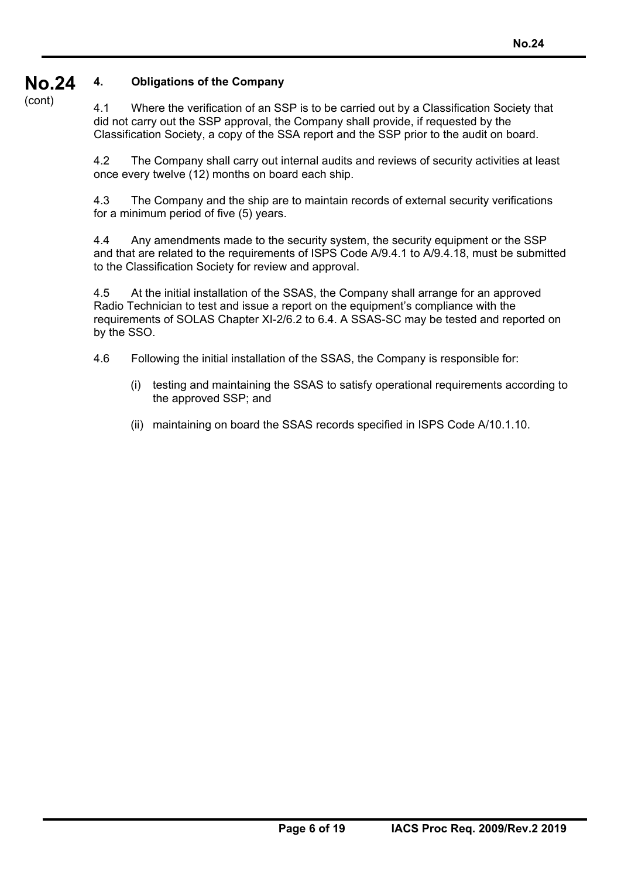#### **No.24 4. Obligations of the Company**

(cont)

4.1 Where the verification of an SSP is to be carried out by a Classification Society that did not carry out the SSP approval, the Company shall provide, if requested by the Classification Society, a copy of the SSA report and the SSP prior to the audit on board.

4.2 The Company shall carry out internal audits and reviews of security activities at least once every twelve (12) months on board each ship.

4.3 The Company and the ship are to maintain records of external security verifications for a minimum period of five (5) years.

4.4 Any amendments made to the security system, the security equipment or the SSP and that are related to the requirements of ISPS Code A/9.4.1 to A/9.4.18, must be submitted to the Classification Society for review and approval.

4.5 At the initial installation of the SSAS, the Company shall arrange for an approved Radio Technician to test and issue a report on the equipment's compliance with the requirements of SOLAS Chapter XI-2/6.2 to 6.4. A SSAS-SC may be tested and reported on by the SSO.

4.6 Following the initial installation of the SSAS, the Company is responsible for:

- (i) testing and maintaining the SSAS to satisfy operational requirements according to the approved SSP; and
- (ii) maintaining on board the SSAS records specified in ISPS Code A/10.1.10.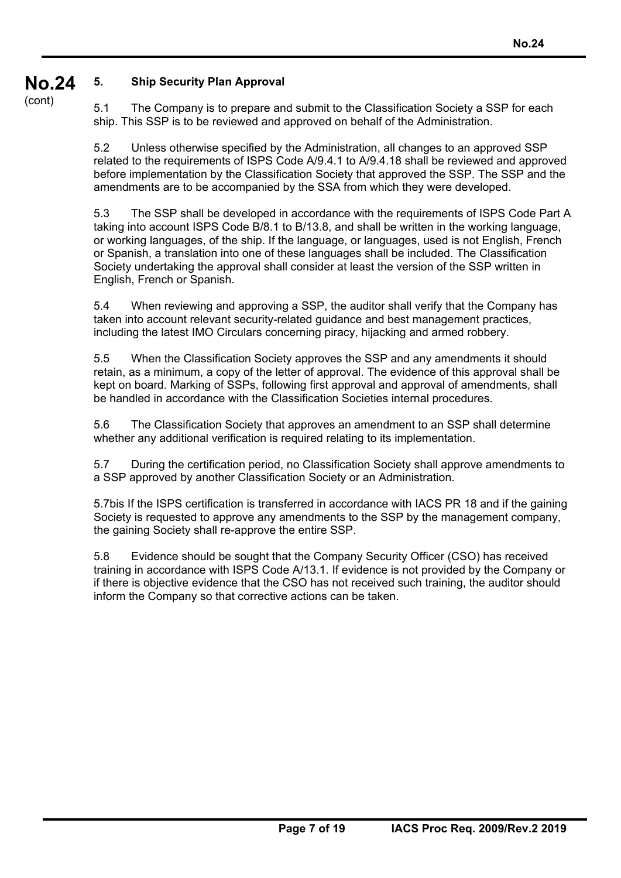#### **No.24 5. Ship Security Plan Approval**

(cont)

5.1 The Company is to prepare and submit to the Classification Society a SSP for each ship. This SSP is to be reviewed and approved on behalf of the Administration.

5.2 Unless otherwise specified by the Administration, all changes to an approved SSP related to the requirements of ISPS Code A/9.4.1 to A/9.4.18 shall be reviewed and approved before implementation by the Classification Society that approved the SSP. The SSP and the amendments are to be accompanied by the SSA from which they were developed.

5.3 The SSP shall be developed in accordance with the requirements of ISPS Code Part A taking into account ISPS Code B/8.1 to B/13.8, and shall be written in the working language, or working languages, of the ship. If the language, or languages, used is not English, French or Spanish, a translation into one of these languages shall be included. The Classification Society undertaking the approval shall consider at least the version of the SSP written in English, French or Spanish.

5.4 When reviewing and approving a SSP, the auditor shall verify that the Company has taken into account relevant security-related guidance and best management practices, including the latest IMO Circulars concerning piracy, hijacking and armed robbery.

5.5 When the Classification Society approves the SSP and any amendments it should retain, as a minimum, a copy of the letter of approval. The evidence of this approval shall be kept on board. Marking of SSPs, following first approval and approval of amendments, shall be handled in accordance with the Classification Societies internal procedures.

5.6 The Classification Society that approves an amendment to an SSP shall determine whether any additional verification is required relating to its implementation.

5.7 During the certification period, no Classification Society shall approve amendments to a SSP approved by another Classification Society or an Administration.

5.7bis If the ISPS certification is transferred in accordance with IACS PR 18 and if the gaining Society is requested to approve any amendments to the SSP by the management company, the gaining Society shall re-approve the entire SSP.

5.8 Evidence should be sought that the Company Security Officer (CSO) has received training in accordance with ISPS Code A/13.1. If evidence is not provided by the Company or if there is objective evidence that the CSO has not received such training, the auditor should inform the Company so that corrective actions can be taken.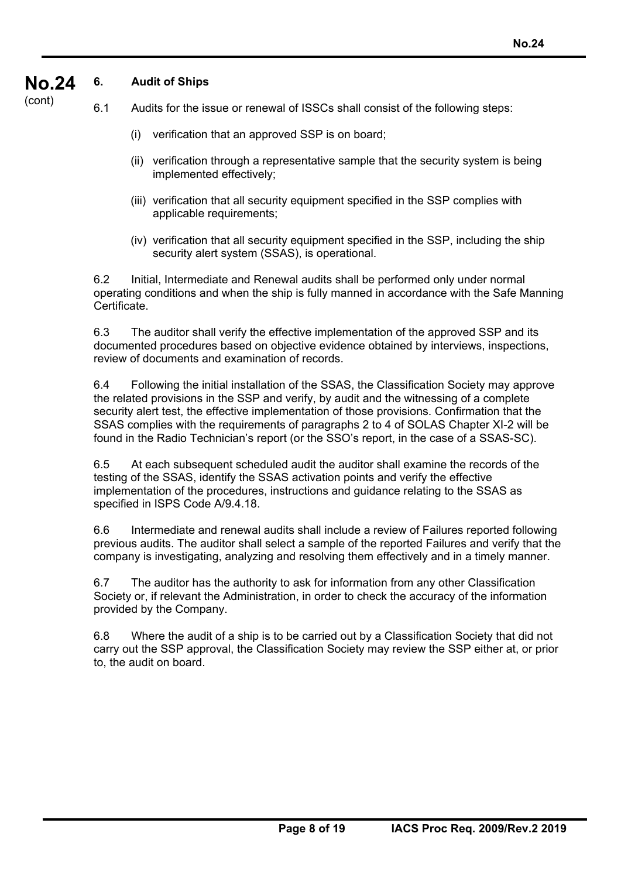#### **No.24 6. Audit of Ships**

(cont)

- 6.1 Audits for the issue or renewal of ISSCs shall consist of the following steps:
	- (i) verification that an approved SSP is on board;
	- (ii) verification through a representative sample that the security system is being implemented effectively;
	- (iii) verification that all security equipment specified in the SSP complies with applicable requirements;
	- (iv) verification that all security equipment specified in the SSP, including the ship security alert system (SSAS), is operational.

6.2 Initial, Intermediate and Renewal audits shall be performed only under normal operating conditions and when the ship is fully manned in accordance with the Safe Manning Certificate.

6.3 The auditor shall verify the effective implementation of the approved SSP and its documented procedures based on objective evidence obtained by interviews, inspections, review of documents and examination of records.

6.4 Following the initial installation of the SSAS, the Classification Society may approve the related provisions in the SSP and verify, by audit and the witnessing of a complete security alert test, the effective implementation of those provisions. Confirmation that the SSAS complies with the requirements of paragraphs 2 to 4 of SOLAS Chapter XI-2 will be found in the Radio Technician's report (or the SSO's report, in the case of a SSAS-SC).

6.5 At each subsequent scheduled audit the auditor shall examine the records of the testing of the SSAS, identify the SSAS activation points and verify the effective implementation of the procedures, instructions and guidance relating to the SSAS as specified in ISPS Code A/9.4.18.

6.6 Intermediate and renewal audits shall include a review of Failures reported following previous audits. The auditor shall select a sample of the reported Failures and verify that the company is investigating, analyzing and resolving them effectively and in a timely manner.

6.7 The auditor has the authority to ask for information from any other Classification Society or, if relevant the Administration, in order to check the accuracy of the information provided by the Company.

6.8 Where the audit of a ship is to be carried out by a Classification Society that did not carry out the SSP approval, the Classification Society may review the SSP either at, or prior to, the audit on board.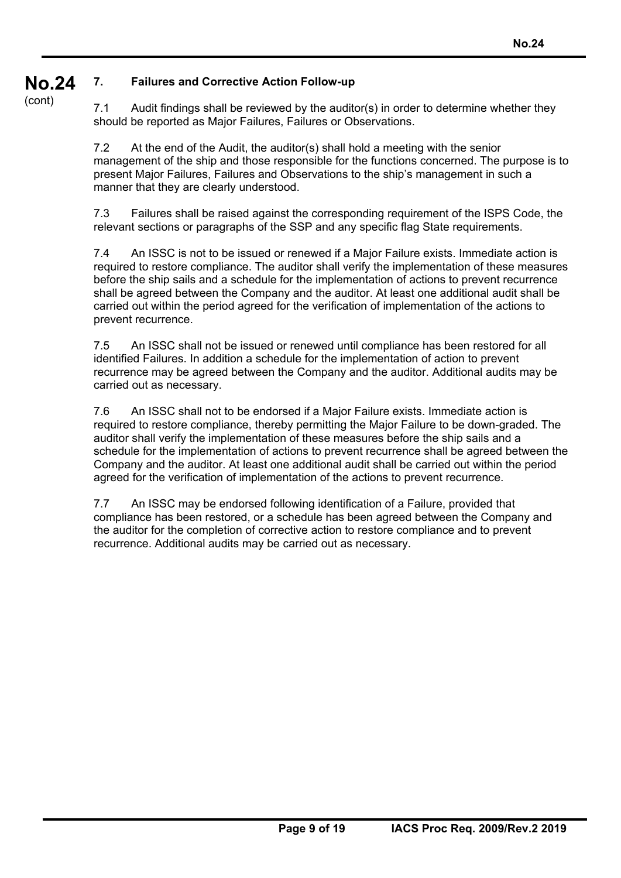#### **No.24 7. Failures and Corrective Action Follow-up**

(cont)

7.1 Audit findings shall be reviewed by the auditor(s) in order to determine whether they should be reported as Major Failures, Failures or Observations.

7.2 At the end of the Audit, the auditor(s) shall hold a meeting with the senior management of the ship and those responsible for the functions concerned. The purpose is to present Major Failures, Failures and Observations to the ship's management in such a manner that they are clearly understood.

7.3 Failures shall be raised against the corresponding requirement of the ISPS Code, the relevant sections or paragraphs of the SSP and any specific flag State requirements.

7.4 An ISSC is not to be issued or renewed if a Major Failure exists. Immediate action is required to restore compliance. The auditor shall verify the implementation of these measures before the ship sails and a schedule for the implementation of actions to prevent recurrence shall be agreed between the Company and the auditor. At least one additional audit shall be carried out within the period agreed for the verification of implementation of the actions to prevent recurrence.

7.5 An ISSC shall not be issued or renewed until compliance has been restored for all identified Failures. In addition a schedule for the implementation of action to prevent recurrence may be agreed between the Company and the auditor. Additional audits may be carried out as necessary.

7.6 An ISSC shall not to be endorsed if a Major Failure exists. Immediate action is required to restore compliance, thereby permitting the Major Failure to be down-graded. The auditor shall verify the implementation of these measures before the ship sails and a schedule for the implementation of actions to prevent recurrence shall be agreed between the Company and the auditor. At least one additional audit shall be carried out within the period agreed for the verification of implementation of the actions to prevent recurrence.

7.7 An ISSC may be endorsed following identification of a Failure, provided that compliance has been restored, or a schedule has been agreed between the Company and the auditor for the completion of corrective action to restore compliance and to prevent recurrence. Additional audits may be carried out as necessary.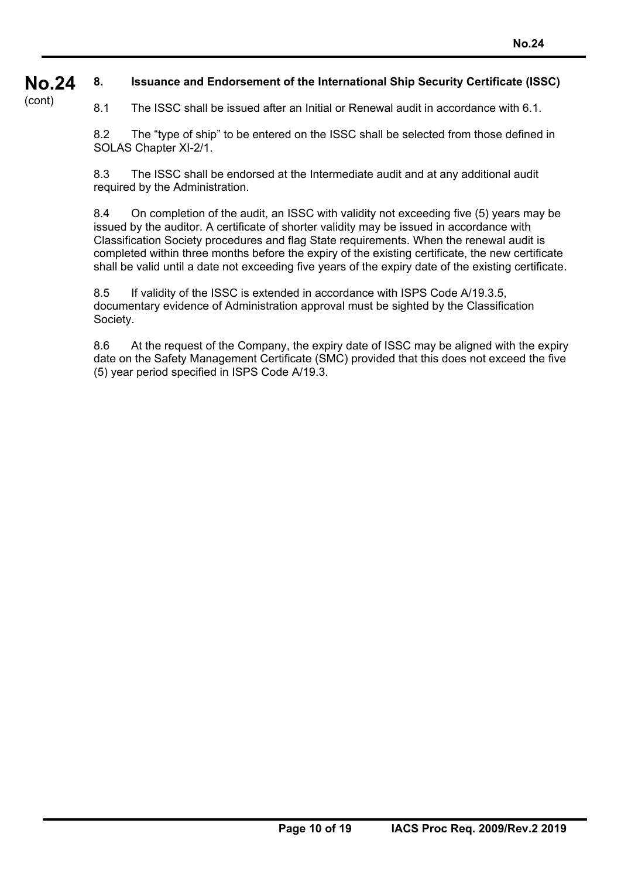#### **No.24 8. Issuance and Endorsement of the International Ship Security Certificate (ISSC)**

(cont)

8.1 The ISSC shall be issued after an Initial or Renewal audit in accordance with 6.1.

8.2 The "type of ship" to be entered on the ISSC shall be selected from those defined in SOLAS Chapter XI-2/1.

8.3 The ISSC shall be endorsed at the Intermediate audit and at any additional audit required by the Administration.

8.4 On completion of the audit, an ISSC with validity not exceeding five (5) years may be issued by the auditor. A certificate of shorter validity may be issued in accordance with Classification Society procedures and flag State requirements. When the renewal audit is completed within three months before the expiry of the existing certificate, the new certificate shall be valid until a date not exceeding five years of the expiry date of the existing certificate.

8.5 If validity of the ISSC is extended in accordance with ISPS Code A/19.3.5, documentary evidence of Administration approval must be sighted by the Classification Society.

8.6 At the request of the Company, the expiry date of ISSC may be aligned with the expiry date on the Safety Management Certificate (SMC) provided that this does not exceed the five (5) year period specified in ISPS Code A/19.3.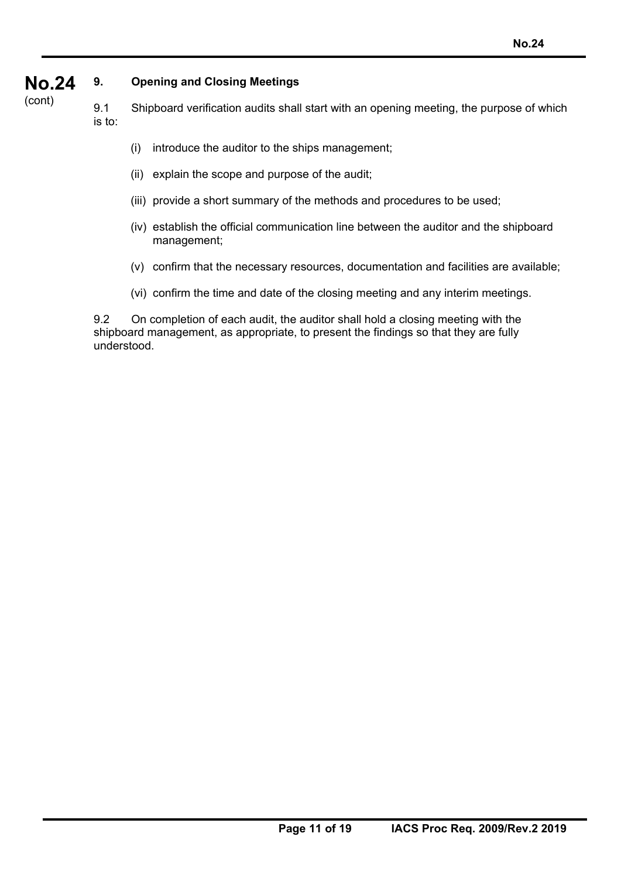#### **No.24 9. Opening and Closing Meetings**

(cont) 9.1 Shipboard verification audits shall start with an opening meeting, the purpose of which is to:

- (i) introduce the auditor to the ships management;
- (ii) explain the scope and purpose of the audit;
- (iii) provide a short summary of the methods and procedures to be used;
- (iv) establish the official communication line between the auditor and the shipboard management;
- (v) confirm that the necessary resources, documentation and facilities are available;
- (vi) confirm the time and date of the closing meeting and any interim meetings.

9.2 On completion of each audit, the auditor shall hold a closing meeting with the shipboard management, as appropriate, to present the findings so that they are fully understood.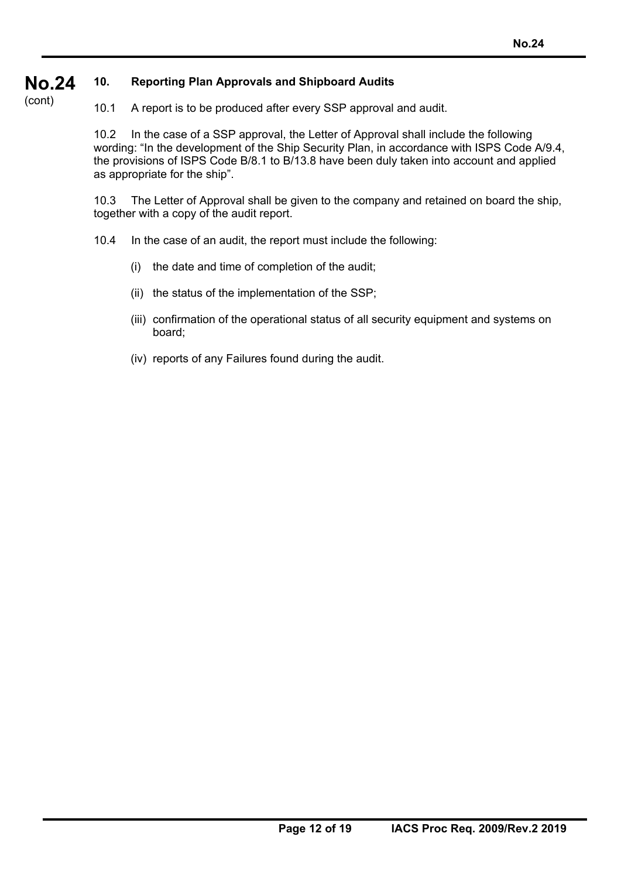#### **No.24 10. Reporting Plan Approvals and Shipboard Audits**

(cont)

10.1 A report is to be produced after every SSP approval and audit.

10.2 In the case of a SSP approval, the Letter of Approval shall include the following wording: "In the development of the Ship Security Plan, in accordance with ISPS Code A/9.4, the provisions of ISPS Code B/8.1 to B/13.8 have been duly taken into account and applied as appropriate for the ship".

10.3 The Letter of Approval shall be given to the company and retained on board the ship, together with a copy of the audit report.

- 10.4 In the case of an audit, the report must include the following:
	- (i) the date and time of completion of the audit;
	- (ii) the status of the implementation of the SSP;
	- (iii) confirmation of the operational status of all security equipment and systems on board;
	- (iv) reports of any Failures found during the audit.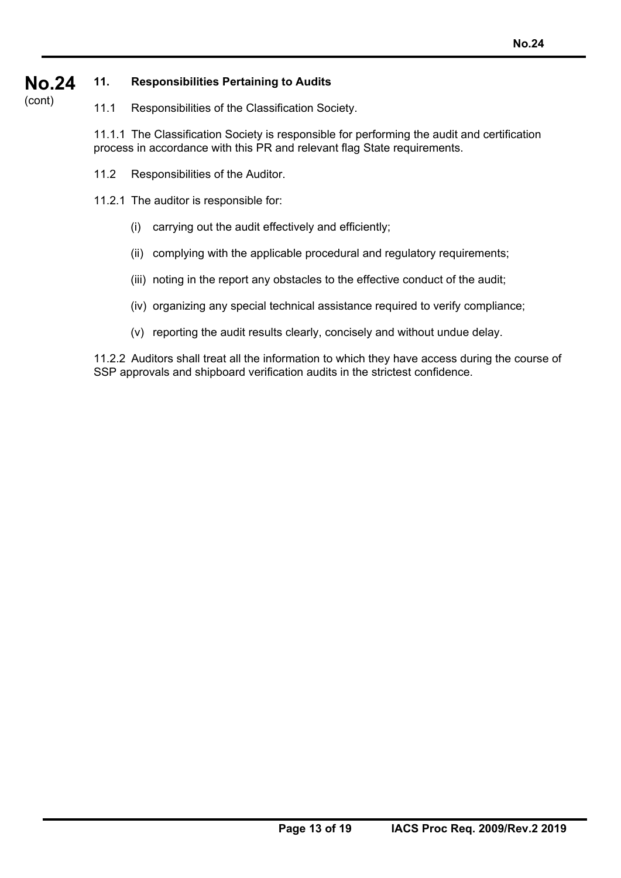#### **No.24 11. Responsibilities Pertaining to Audits**

(cont)

11.1 Responsibilities of the Classification Society.

11.1.1 The Classification Society is responsible for performing the audit and certification process in accordance with this PR and relevant flag State requirements.

- 11.2 Responsibilities of the Auditor.
- 11.2.1 The auditor is responsible for:
	- (i) carrying out the audit effectively and efficiently;
	- (ii) complying with the applicable procedural and regulatory requirements;
	- (iii) noting in the report any obstacles to the effective conduct of the audit;
	- (iv) organizing any special technical assistance required to verify compliance;
	- (v) reporting the audit results clearly, concisely and without undue delay.

11.2.2 Auditors shall treat all the information to which they have access during the course of SSP approvals and shipboard verification audits in the strictest confidence.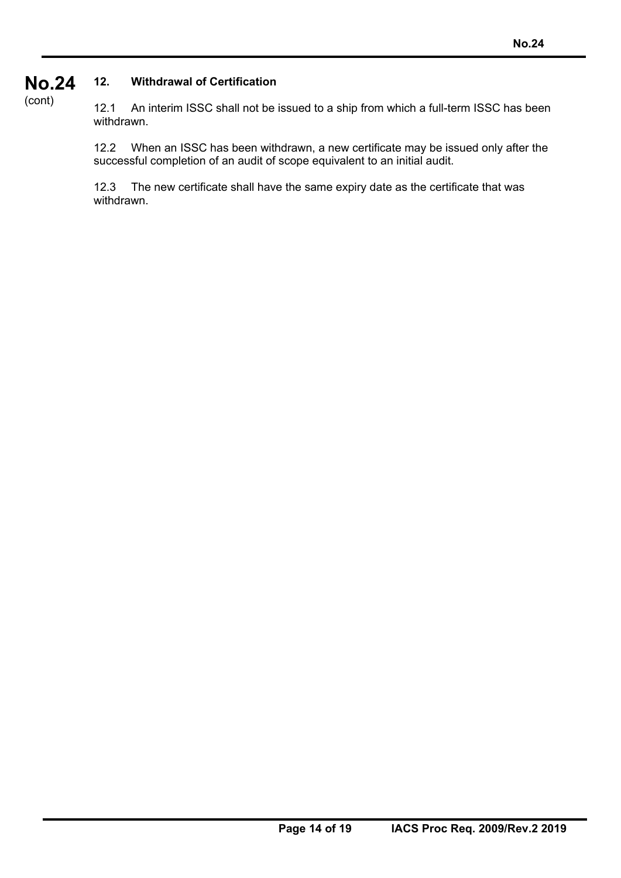### **No.24 12. Withdrawal of Certification**

(cont)

12.1 An interim ISSC shall not be issued to a ship from which a full-term ISSC has been withdrawn.

12.2 When an ISSC has been withdrawn, a new certificate may be issued only after the successful completion of an audit of scope equivalent to an initial audit.

12.3 The new certificate shall have the same expiry date as the certificate that was withdrawn.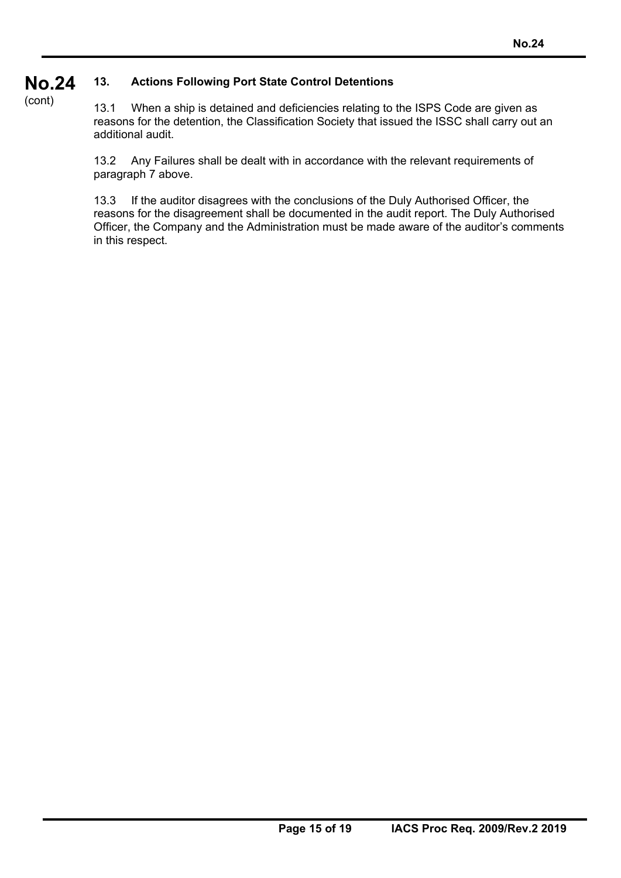#### **No.24 13. Actions Following Port State Control Detentions**

(cont)

13.1 When a ship is detained and deficiencies relating to the ISPS Code are given as reasons for the detention, the Classification Society that issued the ISSC shall carry out an additional audit.

13.2 Any Failures shall be dealt with in accordance with the relevant requirements of paragraph 7 above.

13.3 If the auditor disagrees with the conclusions of the Duly Authorised Officer, the reasons for the disagreement shall be documented in the audit report. The Duly Authorised Officer, the Company and the Administration must be made aware of the auditor's comments in this respect.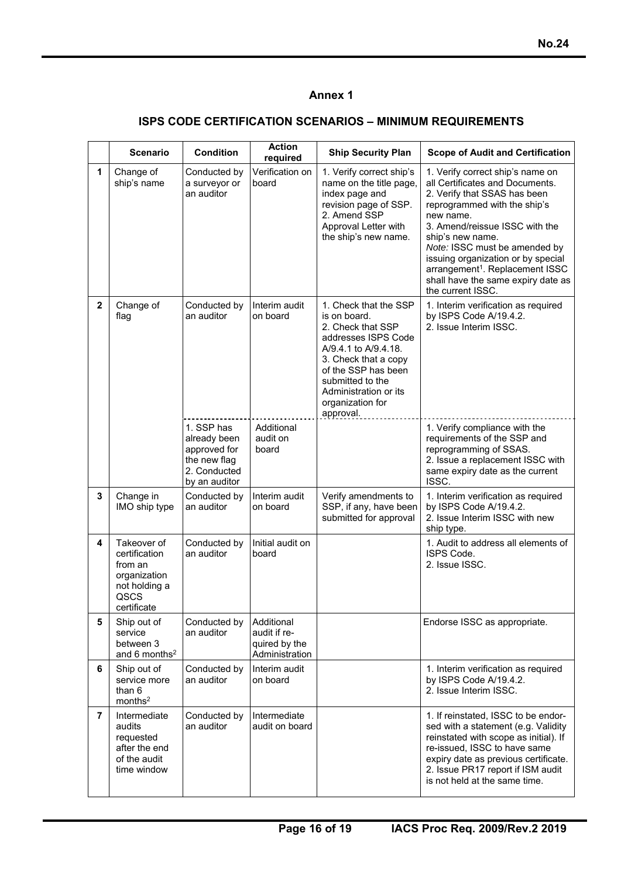### **Annex 1**

### **ISPS CODE CERTIFICATION SCENARIOS – MINIMUM REQUIREMENTS**

|                | <b>Scenario</b>                                                                                 | <b>Condition</b>                                                                            | <b>Action</b><br>required                                     | <b>Ship Security Plan</b>                                                                                                                                                                                                              | <b>Scope of Audit and Certification</b>                                                                                                                                                                                                                                                                                                                                                 |
|----------------|-------------------------------------------------------------------------------------------------|---------------------------------------------------------------------------------------------|---------------------------------------------------------------|----------------------------------------------------------------------------------------------------------------------------------------------------------------------------------------------------------------------------------------|-----------------------------------------------------------------------------------------------------------------------------------------------------------------------------------------------------------------------------------------------------------------------------------------------------------------------------------------------------------------------------------------|
| $\mathbf{1}$   | Change of<br>ship's name                                                                        | Conducted by<br>a surveyor or<br>an auditor                                                 | Verification on<br>board                                      | 1. Verify correct ship's<br>name on the title page,<br>index page and<br>revision page of SSP.<br>2. Amend SSP<br>Approval Letter with<br>the ship's new name.                                                                         | 1. Verify correct ship's name on<br>all Certificates and Documents.<br>2. Verify that SSAS has been<br>reprogrammed with the ship's<br>new name.<br>3. Amend/reissue ISSC with the<br>ship's new name.<br>Note: ISSC must be amended by<br>issuing organization or by special<br>arrangement <sup>1</sup> . Replacement ISSC<br>shall have the same expiry date as<br>the current ISSC. |
| $\mathbf 2$    | Change of<br>flag                                                                               | Conducted by<br>an auditor                                                                  | Interim audit<br>on board                                     | 1. Check that the SSP<br>is on board.<br>2. Check that SSP<br>addresses ISPS Code<br>A/9.4.1 to A/9.4.18.<br>3. Check that a copy<br>of the SSP has been<br>submitted to the<br>Administration or its<br>organization for<br>approval. | 1. Interim verification as required<br>by ISPS Code A/19.4.2.<br>2. Issue Interim ISSC.                                                                                                                                                                                                                                                                                                 |
|                |                                                                                                 | 1. SSP has<br>already been<br>approved for<br>the new flag<br>2. Conducted<br>by an auditor | Additional<br>audit on<br>board                               |                                                                                                                                                                                                                                        | 1. Verify compliance with the<br>requirements of the SSP and<br>reprogramming of SSAS.<br>2. Issue a replacement ISSC with<br>same expiry date as the current<br>ISSC.                                                                                                                                                                                                                  |
| 3              | Change in<br>IMO ship type                                                                      | Conducted by<br>an auditor                                                                  | Interim audit<br>on board                                     | Verify amendments to<br>SSP, if any, have been<br>submitted for approval                                                                                                                                                               | 1. Interim verification as required<br>by ISPS Code A/19.4.2.<br>2. Issue Interim ISSC with new<br>ship type.                                                                                                                                                                                                                                                                           |
| 4              | Takeover of<br>certification<br>from an<br>organization<br>not holding a<br>QSCS<br>certificate | Conducted by<br>an auditor                                                                  | Initial audit on<br>board                                     |                                                                                                                                                                                                                                        | 1. Audit to address all elements of<br>ISPS Code.<br>2. Issue ISSC.                                                                                                                                                                                                                                                                                                                     |
| 5              | Ship out of<br>service<br>between 3<br>and 6 months <sup>2</sup>                                | Conducted by<br>an auditor                                                                  | Additional<br>audit if re-<br>quired by the<br>Administration |                                                                                                                                                                                                                                        | Endorse ISSC as appropriate.                                                                                                                                                                                                                                                                                                                                                            |
| 6              | Ship out of<br>service more<br>than 6<br>months <sup>2</sup>                                    | Conducted by<br>an auditor                                                                  | Interim audit<br>on board                                     |                                                                                                                                                                                                                                        | 1. Interim verification as required<br>by ISPS Code A/19.4.2.<br>2. Issue Interim ISSC.                                                                                                                                                                                                                                                                                                 |
| $\overline{7}$ | Intermediate<br>audits<br>requested<br>after the end<br>of the audit<br>time window             | Conducted by<br>an auditor                                                                  | Intermediate<br>audit on board                                |                                                                                                                                                                                                                                        | 1. If reinstated, ISSC to be endor-<br>sed with a statement (e.g. Validity<br>reinstated with scope as initial). If<br>re-issued, ISSC to have same<br>expiry date as previous certificate.<br>2. Issue PR17 report if ISM audit<br>is not held at the same time.                                                                                                                       |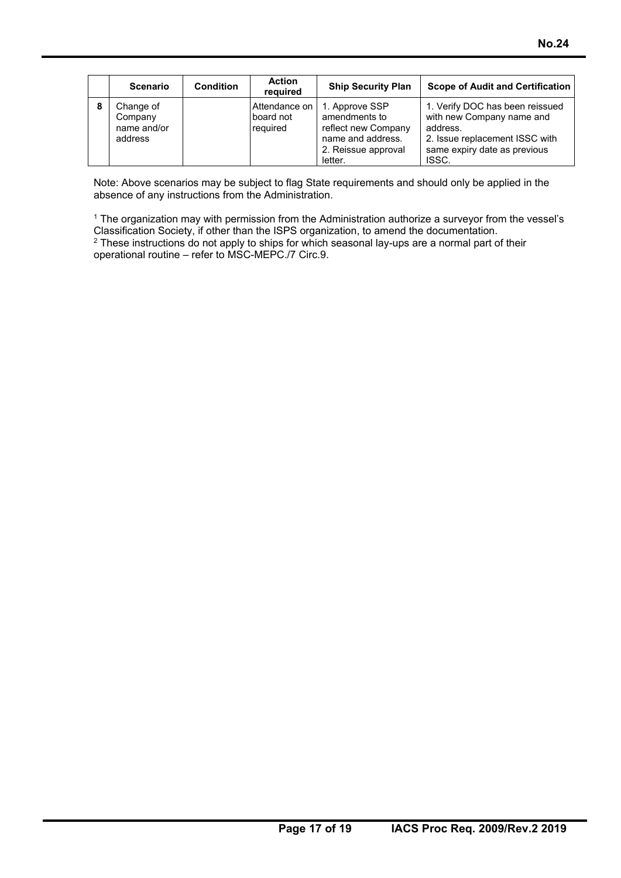| <b>Scenario</b>                                | <b>Condition</b> | <b>Action</b><br>reauired              | <b>Ship Security Plan</b>                                                                                     | <b>Scope of Audit and Certification</b>                                                                                                             |
|------------------------------------------------|------------------|----------------------------------------|---------------------------------------------------------------------------------------------------------------|-----------------------------------------------------------------------------------------------------------------------------------------------------|
| Change of<br>Company<br>name and/or<br>address |                  | Attendance on<br>board not<br>required | 1. Approve SSP<br>amendments to<br>reflect new Company<br>name and address.<br>2. Reissue approval<br>letter. | 1. Verify DOC has been reissued<br>with new Company name and<br>address.<br>2. Issue replacement ISSC with<br>same expiry date as previous<br>ISSC. |

Note: Above scenarios may be subject to flag State requirements and should only be applied in the absence of any instructions from the Administration.

<sup>1</sup> The organization may with permission from the Administration authorize a surveyor from the vessel's Classification Society, if other than the ISPS organization, to amend the documentation. <sup>2</sup> These instructions do not apply to ships for which seasonal lay-ups are a normal part of their operational routine – refer to MSC-MEPC./7 Circ.9.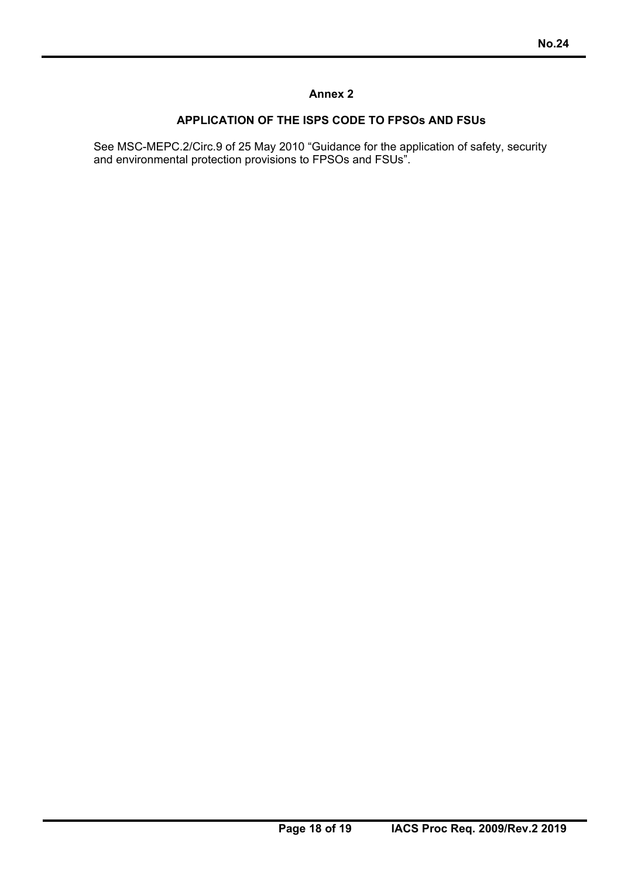### **Annex 2**

### **APPLICATION OF THE ISPS CODE TO FPSOs AND FSUs**

See MSC-MEPC.2/Circ.9 of 25 May 2010 "Guidance for the application of safety, security and environmental protection provisions to FPSOs and FSUs".